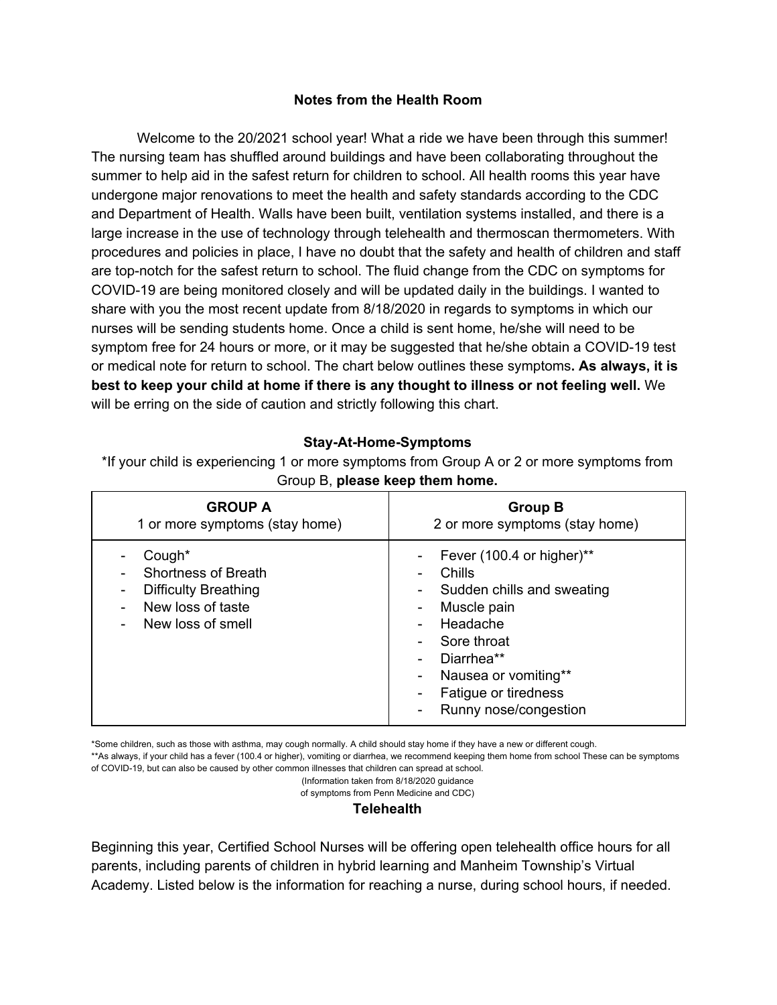## **Notes from the Health Room**

Welcome to the 20/2021 school year! What a ride we have been through this summer! The nursing team has shuffled around buildings and have been collaborating throughout the summer to help aid in the safest return for children to school. All health rooms this year have undergone major renovations to meet the health and safety standards according to the CDC and Department of Health. Walls have been built, ventilation systems installed, and there is a large increase in the use of technology through telehealth and thermoscan thermometers. With procedures and policies in place, I have no doubt that the safety and health of children and staff are top-notch for the safest return to school. The fluid change from the CDC on symptoms for COVID-19 are being monitored closely and will be updated daily in the buildings. I wanted to share with you the most recent update from 8/18/2020 in regards to symptoms in which our nurses will be sending students home. Once a child is sent home, he/she will need to be symptom free for 24 hours or more, or it may be suggested that he/she obtain a COVID-19 test or medical note for return to school. The chart below outlines these symptoms**. As always, it is best to keep your child at home if there is any thought to illness or not feeling well.** We will be erring on the side of caution and strictly following this chart.

### **Stay-At-Home-Symptoms**

\*If your child is experiencing 1 or more symptoms from Group A or 2 or more symptoms from Group B, **please keep them home.**

| <b>GROUP A</b>                                                                                                | <b>Group B</b>                                                                                                                                                                                                    |
|---------------------------------------------------------------------------------------------------------------|-------------------------------------------------------------------------------------------------------------------------------------------------------------------------------------------------------------------|
| 1 or more symptoms (stay home)                                                                                | 2 or more symptoms (stay home)                                                                                                                                                                                    |
| Cough*<br><b>Shortness of Breath</b><br><b>Difficulty Breathing</b><br>New loss of taste<br>New loss of smell | Fever (100.4 or higher)**<br>-<br>Chills<br>Sudden chills and sweating<br>-<br>Muscle pain<br>Headache<br>Sore throat<br>Diarrhea**<br>Nausea or vomiting**<br>-<br>Fatigue or tiredness<br>Runny nose/congestion |

\*Some children, such as those with asthma, may cough normally. A child should stay home if they have a new or different cough.

\*\*As always, if your child has a fever (100.4 or higher), vomiting or diarrhea, we recommend keeping them home from school These can be symptoms of COVID-19, but can also be caused by other common illnesses that children can spread at school.

(Information taken from 8/18/2020 guidance

of symptoms from Penn Medicine and CDC)

#### **Telehealth**

Beginning this year, Certified School Nurses will be offering open telehealth office hours for all parents, including parents of children in hybrid learning and Manheim Township's Virtual Academy. Listed below is the information for reaching a nurse, during school hours, if needed.